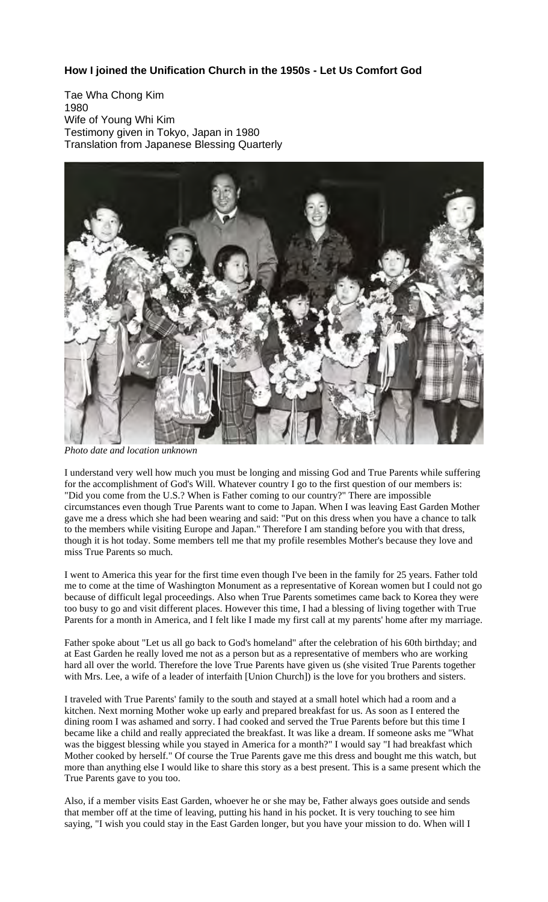## **How I joined the Unification Church in the 1950s - Let Us Comfort God**

Tae Wha Chong Kim 1980 Wife of Young Whi Kim Testimony given in Tokyo, Japan in 1980 Translation from Japanese Blessing Quarterly



*Photo date and location unknown*

I understand very well how much you must be longing and missing God and True Parents while suffering for the accomplishment of God's Will. Whatever country I go to the first question of our members is: "Did you come from the U.S.? When is Father coming to our country?" There are impossible circumstances even though True Parents want to come to Japan. When I was leaving East Garden Mother gave me a dress which she had been wearing and said: "Put on this dress when you have a chance to talk to the members while visiting Europe and Japan." Therefore I am standing before you with that dress, though it is hot today. Some members tell me that my profile resembles Mother's because they love and miss True Parents so much.

I went to America this year for the first time even though I've been in the family for 25 years. Father told me to come at the time of Washington Monument as a representative of Korean women but I could not go because of difficult legal proceedings. Also when True Parents sometimes came back to Korea they were too busy to go and visit different places. However this time, I had a blessing of living together with True Parents for a month in America, and I felt like I made my first call at my parents' home after my marriage.

Father spoke about "Let us all go back to God's homeland" after the celebration of his 60th birthday; and at East Garden he really loved me not as a person but as a representative of members who are working hard all over the world. Therefore the love True Parents have given us (she visited True Parents together with Mrs. Lee, a wife of a leader of interfaith [Union Church]) is the love for you brothers and sisters.

I traveled with True Parents' family to the south and stayed at a small hotel which had a room and a kitchen. Next morning Mother woke up early and prepared breakfast for us. As soon as I entered the dining room I was ashamed and sorry. I had cooked and served the True Parents before but this time I became like a child and really appreciated the breakfast. It was like a dream. If someone asks me "What was the biggest blessing while you stayed in America for a month?" I would say "I had breakfast which Mother cooked by herself." Of course the True Parents gave me this dress and bought me this watch, but more than anything else I would like to share this story as a best present. This is a same present which the True Parents gave to you too.

Also, if a member visits East Garden, whoever he or she may be, Father always goes outside and sends that member off at the time of leaving, putting his hand in his pocket. It is very touching to see him saying, "I wish you could stay in the East Garden longer, but you have your mission to do. When will I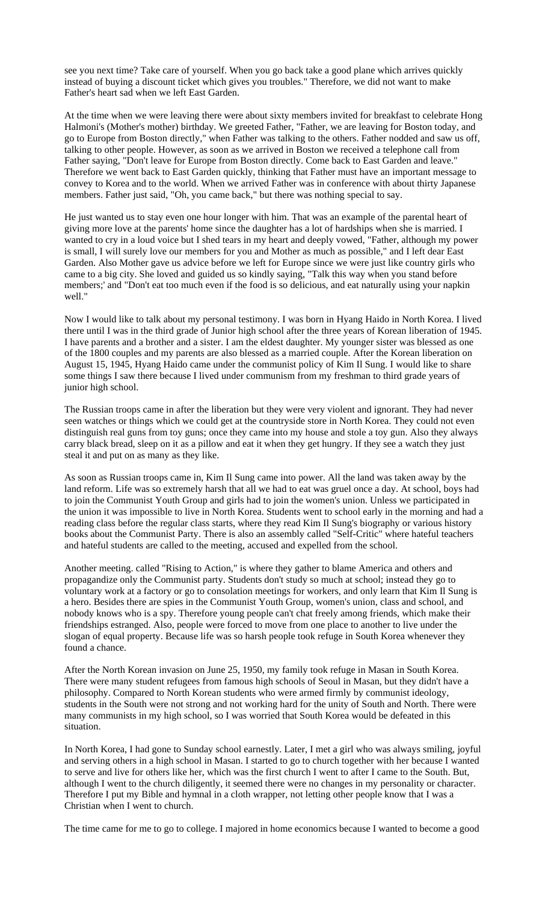see you next time? Take care of yourself. When you go back take a good plane which arrives quickly instead of buying a discount ticket which gives you troubles." Therefore, we did not want to make Father's heart sad when we left East Garden.

At the time when we were leaving there were about sixty members invited for breakfast to celebrate Hong Halmoni's (Mother's mother) birthday. We greeted Father, "Father, we are leaving for Boston today, and go to Europe from Boston directly," when Father was talking to the others. Father nodded and saw us off, talking to other people. However, as soon as we arrived in Boston we received a telephone call from Father saying, "Don't leave for Europe from Boston directly. Come back to East Garden and leave." Therefore we went back to East Garden quickly, thinking that Father must have an important message to convey to Korea and to the world. When we arrived Father was in conference with about thirty Japanese members. Father just said, "Oh, you came back," but there was nothing special to say.

He just wanted us to stay even one hour longer with him. That was an example of the parental heart of giving more love at the parents' home since the daughter has a lot of hardships when she is married. I wanted to cry in a loud voice but I shed tears in my heart and deeply vowed, "Father, although my power is small, I will surely love our members for you and Mother as much as possible," and I left dear East Garden. Also Mother gave us advice before we left for Europe since we were just like country girls who came to a big city. She loved and guided us so kindly saying, "Talk this way when you stand before members;' and "Don't eat too much even if the food is so delicious, and eat naturally using your napkin well."

Now I would like to talk about my personal testimony. I was born in Hyang Haido in North Korea. I lived there until I was in the third grade of Junior high school after the three years of Korean liberation of 1945. I have parents and a brother and a sister. I am the eldest daughter. My younger sister was blessed as one of the 1800 couples and my parents are also blessed as a married couple. After the Korean liberation on August 15, 1945, Hyang Haido came under the communist policy of Kim Il Sung. I would like to share some things I saw there because I lived under communism from my freshman to third grade years of junior high school.

The Russian troops came in after the liberation but they were very violent and ignorant. They had never seen watches or things which we could get at the countryside store in North Korea. They could not even distinguish real guns from toy guns; once they came into my house and stole a toy gun. Also they always carry black bread, sleep on it as a pillow and eat it when they get hungry. If they see a watch they just steal it and put on as many as they like.

As soon as Russian troops came in, Kim Il Sung came into power. All the land was taken away by the land reform. Life was so extremely harsh that all we had to eat was gruel once a day. At school, boys had to join the Communist Youth Group and girls had to join the women's union. Unless we participated in the union it was impossible to live in North Korea. Students went to school early in the morning and had a reading class before the regular class starts, where they read Kim Il Sung's biography or various history books about the Communist Party. There is also an assembly called "Self-Critic" where hateful teachers and hateful students are called to the meeting, accused and expelled from the school.

Another meeting. called "Rising to Action," is where they gather to blame America and others and propagandize only the Communist party. Students don't study so much at school; instead they go to voluntary work at a factory or go to consolation meetings for workers, and only learn that Kim Il Sung is a hero. Besides there are spies in the Communist Youth Group, women's union, class and school, and nobody knows who is a spy. Therefore young people can't chat freely among friends, which make their friendships estranged. Also, people were forced to move from one place to another to live under the slogan of equal property. Because life was so harsh people took refuge in South Korea whenever they found a chance.

After the North Korean invasion on June 25, 1950, my family took refuge in Masan in South Korea. There were many student refugees from famous high schools of Seoul in Masan, but they didn't have a philosophy. Compared to North Korean students who were armed firmly by communist ideology, students in the South were not strong and not working hard for the unity of South and North. There were many communists in my high school, so I was worried that South Korea would be defeated in this situation.

In North Korea, I had gone to Sunday school earnestly. Later, I met a girl who was always smiling, joyful and serving others in a high school in Masan. I started to go to church together with her because I wanted to serve and live for others like her, which was the first church I went to after I came to the South. But, although I went to the church diligently, it seemed there were no changes in my personality or character. Therefore I put my Bible and hymnal in a cloth wrapper, not letting other people know that I was a Christian when I went to church.

The time came for me to go to college. I majored in home economics because I wanted to become a good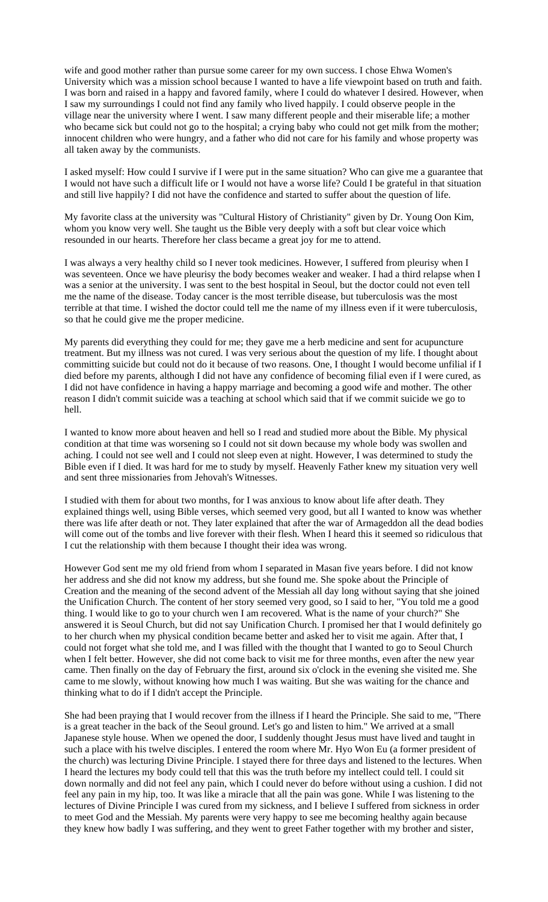wife and good mother rather than pursue some career for my own success. I chose Ehwa Women's University which was a mission school because I wanted to have a life viewpoint based on truth and faith. I was born and raised in a happy and favored family, where I could do whatever I desired. However, when I saw my surroundings I could not find any family who lived happily. I could observe people in the village near the university where I went. I saw many different people and their miserable life; a mother who became sick but could not go to the hospital; a crying baby who could not get milk from the mother; innocent children who were hungry, and a father who did not care for his family and whose property was all taken away by the communists.

I asked myself: How could I survive if I were put in the same situation? Who can give me a guarantee that I would not have such a difficult life or I would not have a worse life? Could I be grateful in that situation and still live happily? I did not have the confidence and started to suffer about the question of life.

My favorite class at the university was "Cultural History of Christianity" given by Dr. Young Oon Kim, whom you know very well. She taught us the Bible very deeply with a soft but clear voice which resounded in our hearts. Therefore her class became a great joy for me to attend.

I was always a very healthy child so I never took medicines. However, I suffered from pleurisy when I was seventeen. Once we have pleurisy the body becomes weaker and weaker. I had a third relapse when I was a senior at the university. I was sent to the best hospital in Seoul, but the doctor could not even tell me the name of the disease. Today cancer is the most terrible disease, but tuberculosis was the most terrible at that time. I wished the doctor could tell me the name of my illness even if it were tuberculosis, so that he could give me the proper medicine.

My parents did everything they could for me; they gave me a herb medicine and sent for acupuncture treatment. But my illness was not cured. I was very serious about the question of my life. I thought about committing suicide but could not do it because of two reasons. One, I thought I would become unfilial if I died before my parents, although I did not have any confidence of becoming filial even if I were cured, as I did not have confidence in having a happy marriage and becoming a good wife and mother. The other reason I didn't commit suicide was a teaching at school which said that if we commit suicide we go to hell.

I wanted to know more about heaven and hell so I read and studied more about the Bible. My physical condition at that time was worsening so I could not sit down because my whole body was swollen and aching. I could not see well and I could not sleep even at night. However, I was determined to study the Bible even if I died. It was hard for me to study by myself. Heavenly Father knew my situation very well and sent three missionaries from Jehovah's Witnesses.

I studied with them for about two months, for I was anxious to know about life after death. They explained things well, using Bible verses, which seemed very good, but all I wanted to know was whether there was life after death or not. They later explained that after the war of Armageddon all the dead bodies will come out of the tombs and live forever with their flesh. When I heard this it seemed so ridiculous that I cut the relationship with them because I thought their idea was wrong.

However God sent me my old friend from whom I separated in Masan five years before. I did not know her address and she did not know my address, but she found me. She spoke about the Principle of Creation and the meaning of the second advent of the Messiah all day long without saying that she joined the Unification Church. The content of her story seemed very good, so I said to her, "You told me a good thing. I would like to go to your church wen I am recovered. What is the name of your church?" She answered it is Seoul Church, but did not say Unification Church. I promised her that I would definitely go to her church when my physical condition became better and asked her to visit me again. After that, I could not forget what she told me, and I was filled with the thought that I wanted to go to Seoul Church when I felt better. However, she did not come back to visit me for three months, even after the new year came. Then finally on the day of February the first, around six o'clock in the evening she visited me. She came to me slowly, without knowing how much I was waiting. But she was waiting for the chance and thinking what to do if I didn't accept the Principle.

She had been praying that I would recover from the illness if I heard the Principle. She said to me, "There is a great teacher in the back of the Seoul ground. Let's go and listen to him." We arrived at a small Japanese style house. When we opened the door, I suddenly thought Jesus must have lived and taught in such a place with his twelve disciples. I entered the room where Mr. Hyo Won Eu (a former president of the church) was lecturing Divine Principle. I stayed there for three days and listened to the lectures. When I heard the lectures my body could tell that this was the truth before my intellect could tell. I could sit down normally and did not feel any pain, which I could never do before without using a cushion. I did not feel any pain in my hip, too. It was like a miracle that all the pain was gone. While I was listening to the lectures of Divine Principle I was cured from my sickness, and I believe I suffered from sickness in order to meet God and the Messiah. My parents were very happy to see me becoming healthy again because they knew how badly I was suffering, and they went to greet Father together with my brother and sister,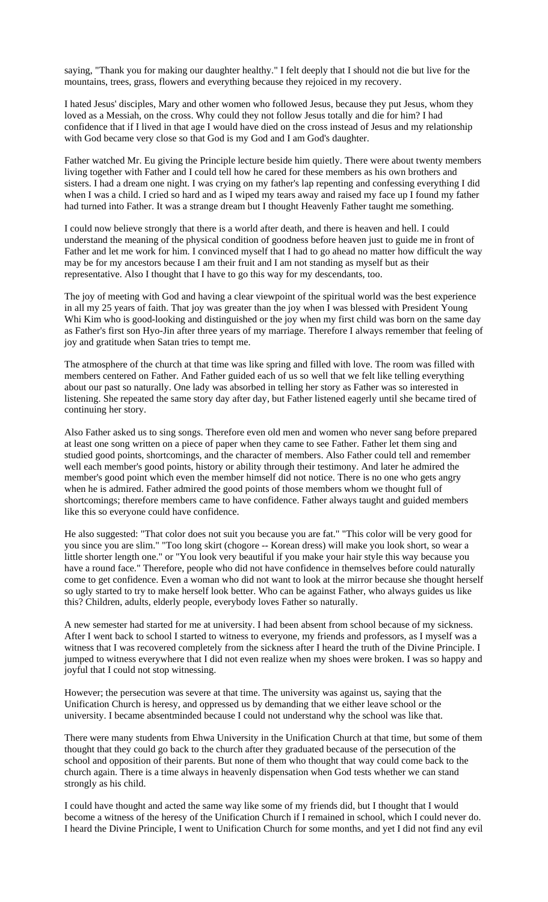saying, "Thank you for making our daughter healthy." I felt deeply that I should not die but live for the mountains, trees, grass, flowers and everything because they rejoiced in my recovery.

I hated Jesus' disciples, Mary and other women who followed Jesus, because they put Jesus, whom they loved as a Messiah, on the cross. Why could they not follow Jesus totally and die for him? I had confidence that if I lived in that age I would have died on the cross instead of Jesus and my relationship with God became very close so that God is my God and I am God's daughter.

Father watched Mr. Eu giving the Principle lecture beside him quietly. There were about twenty members living together with Father and I could tell how he cared for these members as his own brothers and sisters. I had a dream one night. I was crying on my father's lap repenting and confessing everything I did when I was a child. I cried so hard and as I wiped my tears away and raised my face up I found my father had turned into Father. It was a strange dream but I thought Heavenly Father taught me something.

I could now believe strongly that there is a world after death, and there is heaven and hell. I could understand the meaning of the physical condition of goodness before heaven just to guide me in front of Father and let me work for him. I convinced myself that I had to go ahead no matter how difficult the way may be for my ancestors because I am their fruit and I am not standing as myself but as their representative. Also I thought that I have to go this way for my descendants, too.

The joy of meeting with God and having a clear viewpoint of the spiritual world was the best experience in all my 25 years of faith. That joy was greater than the joy when I was blessed with President Young Whi Kim who is good-looking and distinguished or the joy when my first child was born on the same day as Father's first son Hyo-Jin after three years of my marriage. Therefore I always remember that feeling of joy and gratitude when Satan tries to tempt me.

The atmosphere of the church at that time was like spring and filled with love. The room was filled with members centered on Father. And Father guided each of us so well that we felt like telling everything about our past so naturally. One lady was absorbed in telling her story as Father was so interested in listening. She repeated the same story day after day, but Father listened eagerly until she became tired of continuing her story.

Also Father asked us to sing songs. Therefore even old men and women who never sang before prepared at least one song written on a piece of paper when they came to see Father. Father let them sing and studied good points, shortcomings, and the character of members. Also Father could tell and remember well each member's good points, history or ability through their testimony. And later he admired the member's good point which even the member himself did not notice. There is no one who gets angry when he is admired. Father admired the good points of those members whom we thought full of shortcomings; therefore members came to have confidence. Father always taught and guided members like this so everyone could have confidence.

He also suggested: "That color does not suit you because you are fat." "This color will be very good for you since you are slim." "Too long skirt (chogore -- Korean dress) will make you look short, so wear a little shorter length one." or "You look very beautiful if you make your hair style this way because you have a round face." Therefore, people who did not have confidence in themselves before could naturally come to get confidence. Even a woman who did not want to look at the mirror because she thought herself so ugly started to try to make herself look better. Who can be against Father, who always guides us like this? Children, adults, elderly people, everybody loves Father so naturally.

A new semester had started for me at university. I had been absent from school because of my sickness. After I went back to school I started to witness to everyone, my friends and professors, as I myself was a witness that I was recovered completely from the sickness after I heard the truth of the Divine Principle. I jumped to witness everywhere that I did not even realize when my shoes were broken. I was so happy and joyful that I could not stop witnessing.

However; the persecution was severe at that time. The university was against us, saying that the Unification Church is heresy, and oppressed us by demanding that we either leave school or the university. I became absentminded because I could not understand why the school was like that.

There were many students from Ehwa University in the Unification Church at that time, but some of them thought that they could go back to the church after they graduated because of the persecution of the school and opposition of their parents. But none of them who thought that way could come back to the church again. There is a time always in heavenly dispensation when God tests whether we can stand strongly as his child.

I could have thought and acted the same way like some of my friends did, but I thought that I would become a witness of the heresy of the Unification Church if I remained in school, which I could never do. I heard the Divine Principle, I went to Unification Church for some months, and yet I did not find any evil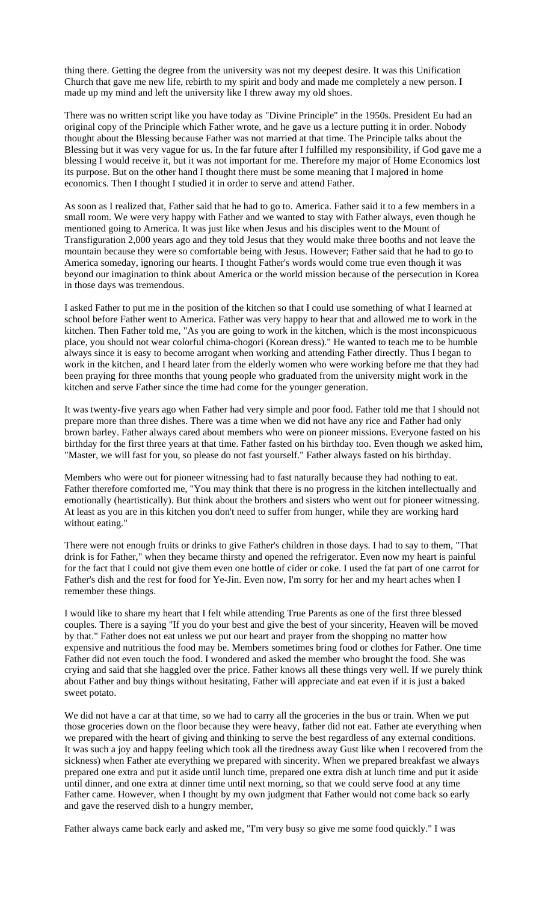thing there. Getting the degree from the university was not my deepest desire. It was this Unification Church that gave me new life, rebirth to my spirit and body and made me completely a new person. I made up my mind and left the university like I threw away my old shoes.

There was no written script like you have today as "Divine Principle" in the 1950s. President Eu had an original copy of the Principle which Father wrote, and he gave us a lecture putting it in order. Nobody thought about the Blessing because Father was not married at that time. The Principle talks about the Blessing but it was very vague for us. In the far future after I fulfilled my responsibility, if God gave me a blessing I would receive it, but it was not important for me. Therefore my major of Home Economics lost its purpose. But on the other hand I thought there must be some meaning that I majored in home economics. Then I thought I studied it in order to serve and attend Father.

As soon as I realized that, Father said that he had to go to. America. Father said it to a few members in a small room. We were very happy with Father and we wanted to stay with Father always, even though he mentioned going to America. It was just like when Jesus and his disciples went to the Mount of Transfiguration 2,000 years ago and they told Jesus that they would make three booths and not leave the mountain because they were so comfortable being with Jesus. However; Father said that he had to go to America someday, ignoring our hearts. I thought Father's words would come true even though it was beyond our imagination to think about America or the world mission because of the persecution in Korea in those days was tremendous.

I asked Father to put me in the position of the kitchen so that I could use something of what I learned at school before Father went to America. Father was very happy to hear that and allowed me to work in the kitchen. Then Father told me, "As you are going to work in the kitchen, which is the most inconspicuous place, you should not wear colorful chima-chogori (Korean dress)." He wanted to teach me to be humble always since it is easy to become arrogant when working and attending Father directly. Thus I began to work in the kitchen, and I heard later from the elderly women who were working before me that they had been praying for three months that young people who graduated from the university might work in the kitchen and serve Father since the time had come for the younger generation.

It was twenty-five years ago when Father had very simple and poor food. Father told me that I should not prepare more than three dishes. There was a time when we did not have any rice and Father had only brown barley. Father always cared about members who were on pioneer missions. Everyone fasted on his birthday for the first three years at that time. Father fasted on his birthday too. Even though we asked him, "Master, we will fast for you, so please do not fast yourself." Father always fasted on his birthday.

Members who were out for pioneer witnessing had to fast naturally because they had nothing to eat. Father therefore comforted me, "You may think that there is no progress in the kitchen intellectually and emotionally (heartistically). But think about the brothers and sisters who went out for pioneer witnessing. At least as you are in this kitchen you don't need to suffer from hunger, while they are working hard without eating."

There were not enough fruits or drinks to give Father's children in those days. I had to say to them, "That drink is for Father," when they became thirsty and opened the refrigerator. Even now my heart is painful for the fact that I could not give them even one bottle of cider or coke. I used the fat part of one carrot for Father's dish and the rest for food for Ye-Jin. Even now, I'm sorry for her and my heart aches when I remember these things.

I would like to share my heart that I felt while attending True Parents as one of the first three blessed couples. There is a saying "If you do your best and give the best of your sincerity, Heaven will be moved by that." Father does not eat unless we put our heart and prayer from the shopping no matter how expensive and nutritious the food may be. Members sometimes bring food or clothes for Father. One time Father did not even touch the food. I wondered and asked the member who brought the food. She was crying and said that she haggled over the price. Father knows all these things very well. If we purely think about Father and buy things without hesitating, Father will appreciate and eat even if it is just a baked sweet potato.

We did not have a car at that time, so we had to carry all the groceries in the bus or train. When we put those groceries down on the floor because they were heavy, father did not eat. Father ate everything when we prepared with the heart of giving and thinking to serve the best regardless of any external conditions. It was such a joy and happy feeling which took all the tiredness away Gust like when I recovered from the sickness) when Father ate everything we prepared with sincerity. When we prepared breakfast we always prepared one extra and put it aside until lunch time, prepared one extra dish at lunch time and put it aside until dinner, and one extra at dinner time until next morning, so that we could serve food at any time Father came. However, when I thought by my own judgment that Father would not come back so early and gave the reserved dish to a hungry member,

Father always came back early and asked me, "I'm very busy so give me some food quickly." I was